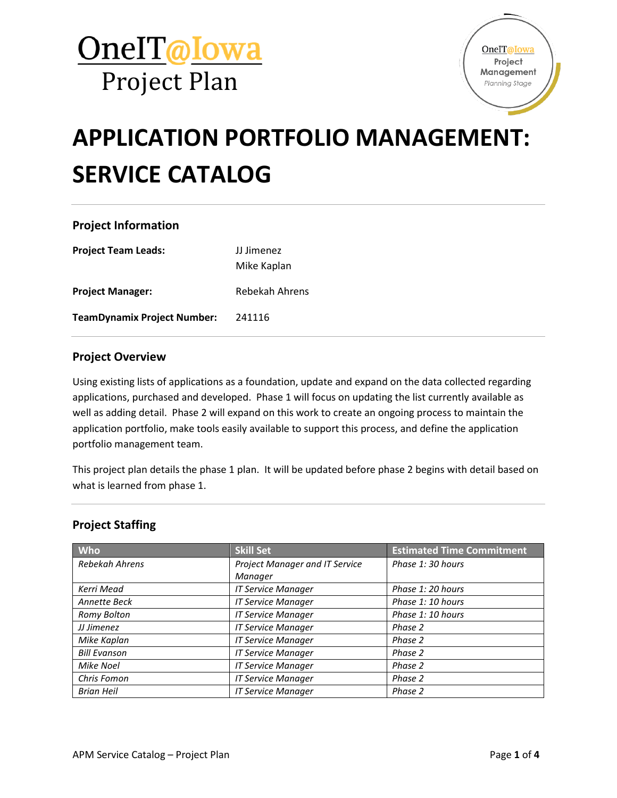

# **APPLICATION PORTFOLIO MANAGEMENT: SERVICE CATALOG**

## **Project Information**

**Project Team Leads:** JJ Jimenez Mike Kaplan **Project Manager:** Rebekah Ahrens **TeamDynamix Project Number:** 241116

#### **Project Overview**

Using existing lists of applications as a foundation, update and expand on the data collected regarding applications, purchased and developed. Phase 1 will focus on updating the list currently available as well as adding detail. Phase 2 will expand on this work to create an ongoing process to maintain the application portfolio, make tools easily available to support this process, and define the application portfolio management team.

This project plan details the phase 1 plan. It will be updated before phase 2 begins with detail based on what is learned from phase 1.

#### **Project Staffing**

| <b>Who</b>          | <b>Skill Set</b>               | <b>Estimated Time Commitment</b> |
|---------------------|--------------------------------|----------------------------------|
| Rebekah Ahrens      | Project Manager and IT Service | Phase 1: 30 hours                |
|                     | Manager                        |                                  |
| Kerri Mead          | <b>IT Service Manager</b>      | Phase 1: 20 hours                |
| Annette Beck        | <b>IT Service Manager</b>      | Phase 1: 10 hours                |
| Romy Bolton         | <b>IT Service Manager</b>      | Phase 1: 10 hours                |
| JJ Jimenez          | <b>IT Service Manager</b>      | Phase 2                          |
| Mike Kaplan         | <b>IT Service Manager</b>      | Phase 2                          |
| <b>Bill Evanson</b> | <b>IT Service Manager</b>      | Phase 2                          |
| Mike Noel           | <b>IT Service Manager</b>      | Phase 2                          |
| Chris Fomon         | <b>IT Service Manager</b>      | Phase 2                          |
| <b>Brian Heil</b>   | <b>IT Service Manager</b>      | Phase 2                          |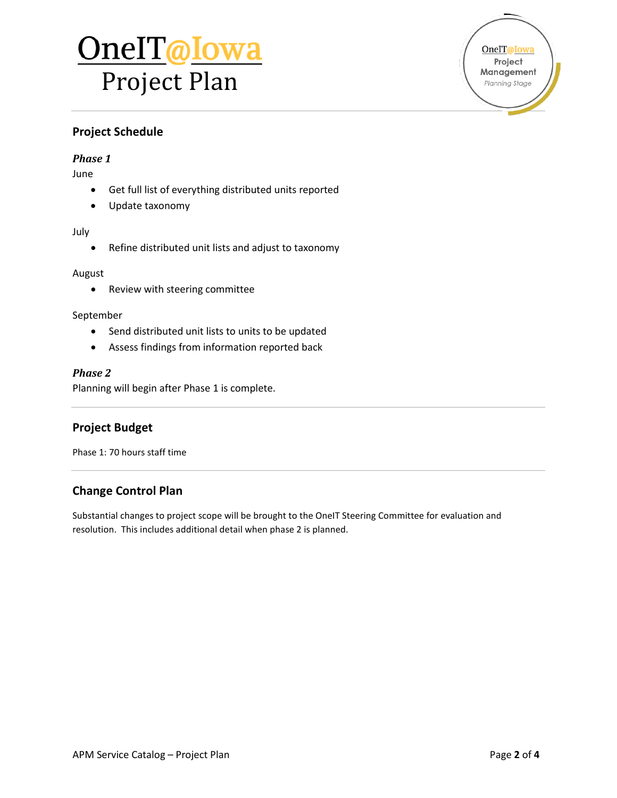# OneIT@Iowa Project Plan

OneIT@Iowa Project Management Planning Stage

## **Project Schedule**

#### *Phase 1*

June

- Get full list of everything distributed units reported
- Update taxonomy

#### July

Refine distributed unit lists and adjust to taxonomy

#### August

• Review with steering committee

#### September

- Send distributed unit lists to units to be updated
- Assess findings from information reported back

#### *Phase 2*

Planning will begin after Phase 1 is complete.

### **Project Budget**

Phase 1: 70 hours staff time

### **Change Control Plan**

Substantial changes to project scope will be brought to the OneIT Steering Committee for evaluation and resolution. This includes additional detail when phase 2 is planned.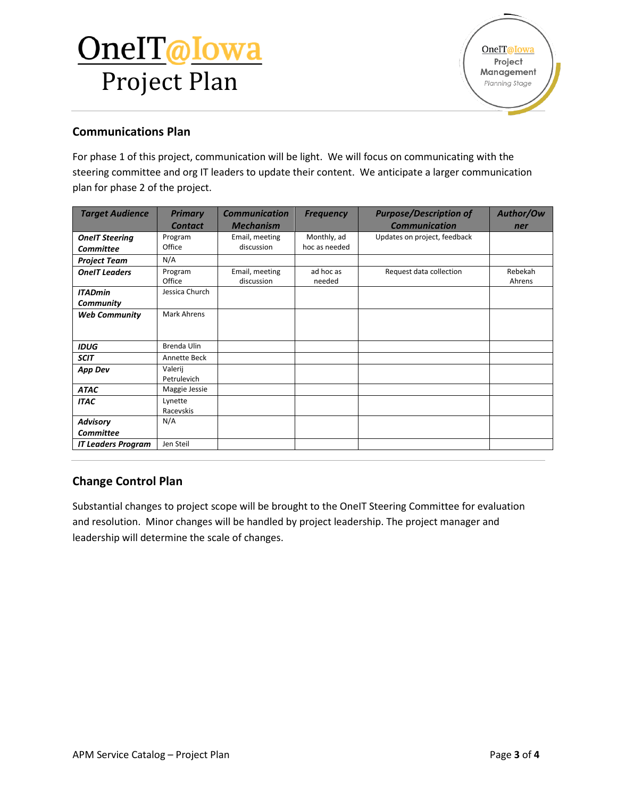# OneIT@Iowa Project Plan

## **Communications Plan**

For phase 1 of this project, communication will be light. We will focus on communicating with the steering committee and org IT leaders to update their content. We anticipate a larger communication plan for phase 2 of the project.

| <b>Target Audience</b>              | <b>Primary</b>         | <b>Communication</b>         | <b>Frequency</b>    | <b>Purpose/Description of</b> | Author/Ow         |
|-------------------------------------|------------------------|------------------------------|---------------------|-------------------------------|-------------------|
|                                     | <b>Contact</b>         | <b>Mechanism</b>             |                     | <b>Communication</b>          | ner               |
| <b>OneIT Steering</b>               | Program                | Email, meeting               | Monthly, ad         | Updates on project, feedback  |                   |
| <b>Committee</b>                    | Office                 | discussion                   | hoc as needed       |                               |                   |
| <b>Project Team</b>                 | N/A                    |                              |                     |                               |                   |
| <b>OneIT Leaders</b>                | Program<br>Office      | Email, meeting<br>discussion | ad hoc as<br>needed | Request data collection       | Rebekah<br>Ahrens |
| <b>ITADmin</b>                      | Jessica Church         |                              |                     |                               |                   |
| Community                           |                        |                              |                     |                               |                   |
| <b>Web Community</b>                | <b>Mark Ahrens</b>     |                              |                     |                               |                   |
| <b>IDUG</b>                         | Brenda Ulin            |                              |                     |                               |                   |
| <b>SCIT</b>                         | Annette Beck           |                              |                     |                               |                   |
| <b>App Dev</b>                      | Valerij<br>Petrulevich |                              |                     |                               |                   |
| <b>ATAC</b>                         | Maggie Jessie          |                              |                     |                               |                   |
| <b>ITAC</b>                         | Lynette<br>Racevskis   |                              |                     |                               |                   |
| <b>Advisory</b><br><b>Committee</b> | N/A                    |                              |                     |                               |                   |
| <b>IT Leaders Program</b>           | Jen Steil              |                              |                     |                               |                   |

## **Change Control Plan**

Substantial changes to project scope will be brought to the OneIT Steering Committee for evaluation and resolution. Minor changes will be handled by project leadership. The project manager and leadership will determine the scale of changes.